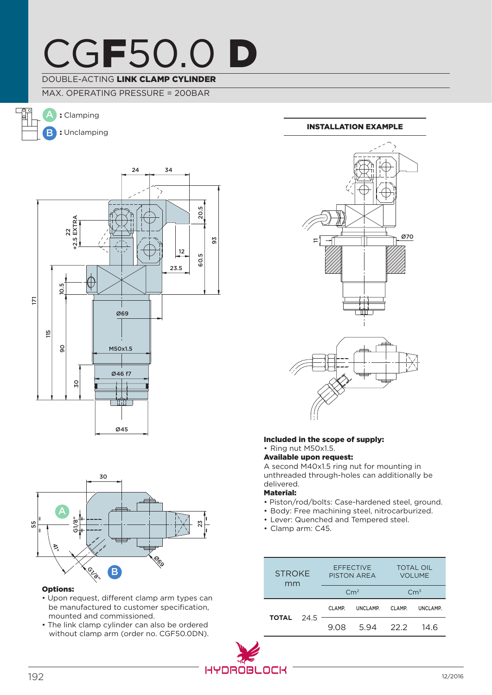## CGF50.0 D

### DOUBLE-ACTING LINK CLAMP CYLINDER

MAX. OPERATING PRESSURE = 200BAR

B A : Clamping : Unclamping





### Options:

- Upon request, different clamp arm types can be manufactured to customer specification, mounted and commissioned.
- The link clamp cylinder can also be ordered without clamp arm (order no. CGF50.0DN).

### Installation example



### Included in the scope of supply: • Ring nut M50x1.5.

Available upon request:

A second M40x1.5 ring nut for mounting in unthreaded through-holes can additionally be delivered.

### Material:

- Piston/rod/bolts: Case-hardened steel, ground.
- Body: Free machining steel, nitrocarburized.
- Lever: Quenched and Tempered steel.
- Clamp arm: C45.

| <b>STROKF</b><br>mm |  | <b>EFFECTIVE</b><br><b>PISTON AREA</b> |           | <b>TOTAL OIL</b><br><b>VOLUME</b> |          |
|---------------------|--|----------------------------------------|-----------|-----------------------------------|----------|
|                     |  | $\rm cm^2$                             |           | Cm <sup>3</sup>                   |          |
| <b>TOTAL</b> 24.5   |  | CLAMP.                                 | UNCLAMP.  | CLAMP.                            | UNCLAMP. |
|                     |  | 9.08                                   | 5.94 22.2 |                                   | 14 R     |